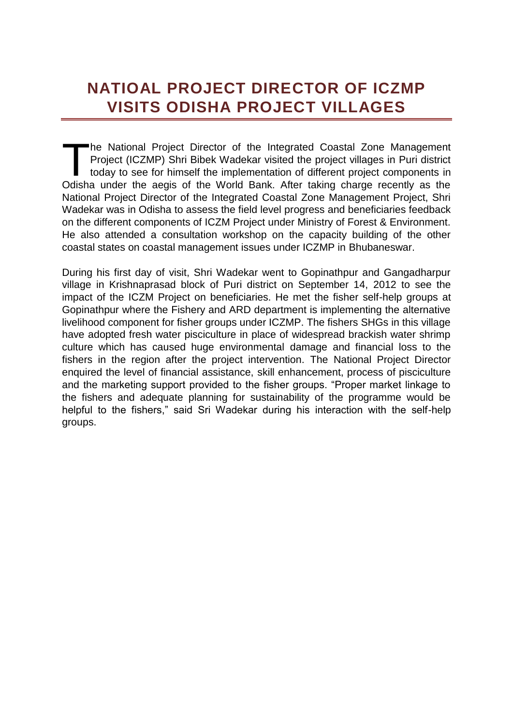## **NATIOAL PROJECT DIRECTOR OF ICZMP VISITS ODISHA PROJECT VILLAGES**

he National Project Director of the Integrated Coastal Zone Management Project (ICZMP) Shri Bibek Wadekar visited the project villages in Puri district today to see for himself the implementation of different project components in The National Project Director of the Integrated Coastal Zone Management<br>Project (ICZMP) Shri Bibek Wadekar visited the project villages in Puri district<br>today to see for himself the implementation of different project comp National Project Director of the Integrated Coastal Zone Management Project, Shri Wadekar was in Odisha to assess the field level progress and beneficiaries feedback on the different components of ICZM Project under Ministry of Forest & Environment. He also attended a consultation workshop on the capacity building of the other coastal states on coastal management issues under ICZMP in Bhubaneswar.

During his first day of visit, Shri Wadekar went to Gopinathpur and Gangadharpur village in Krishnaprasad block of Puri district on September 14, 2012 to see the impact of the ICZM Project on beneficiaries. He met the fisher self-help groups at Gopinathpur where the Fishery and ARD department is implementing the alternative livelihood component for fisher groups under ICZMP. The fishers SHGs in this village have adopted fresh water pisciculture in place of widespread brackish water shrimp culture which has caused huge environmental damage and financial loss to the fishers in the region after the project intervention. The National Project Director enquired the level of financial assistance, skill enhancement, process of pisciculture and the marketing support provided to the fisher groups. "Proper market linkage to the fishers and adequate planning for sustainability of the programme would be helpful to the fishers," said Sri Wadekar during his interaction with the self-help groups.